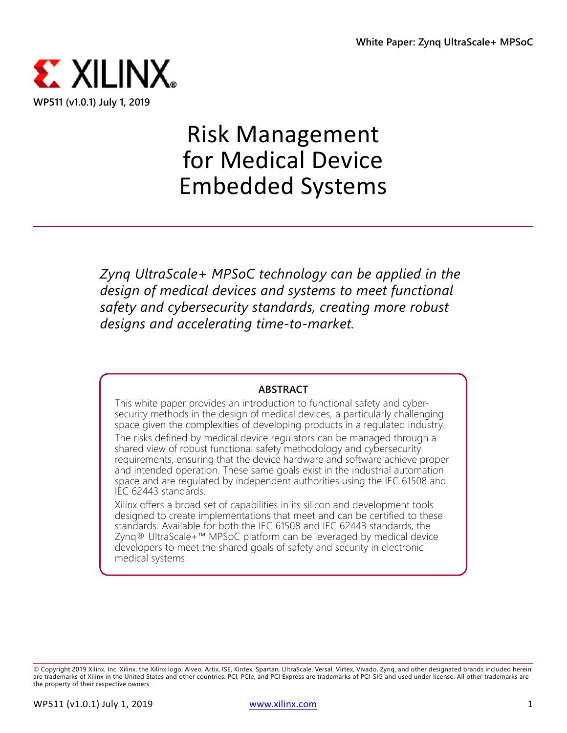

# Risk Management for Medical Device Embedded Systems

*Zynq UltraScale+ MPSoC technology can be applied in the design of medical devices and systems to meet functional safety and cybersecurity standards, creating more robust designs and accelerating time-to-market.*

#### **ABSTRACT**

This white paper provides an introduction to functional safety and cybersecurity methods in the design of medical devices, a particularly challenging space given the complexities of developing products in a regulated industry.

The risks defined by medical device regulators can be managed through a shared view of robust functional safety methodology and cybersecurity requirements, ensuring that the device hardware and software achieve proper and intended operation. These same goals exist in the industrial automation space and are regulated by independent authorities using the IEC 61508 and IEC 62443 standards.

Xilinx offers a broad set of capabilities in its silicon and development tools designed to create implementations that meet and can be certified to these standards. Available for both the IEC 61508 and IEC 62443 standards, the Zynq® UltraScale+™ MPSoC platform can be leveraged by medical device developers to meet the shared goals of safety and security in electronic medical systems.

<sup>©</sup> Copyright 2019 Xilinx, Inc. Xilinx, the Xilinx logo, Alveo, Artix, ISE, Kintex, Spartan, UltraScale, Versal, Virtex, Vivado, Zynq, and other designated brands included herein are trademarks of Xilinx in the United States and other countries. PCI, PCIe, and PCI Express are trademarks of PCI-SIG and used under license. All other trademarks are the property of their respective owners.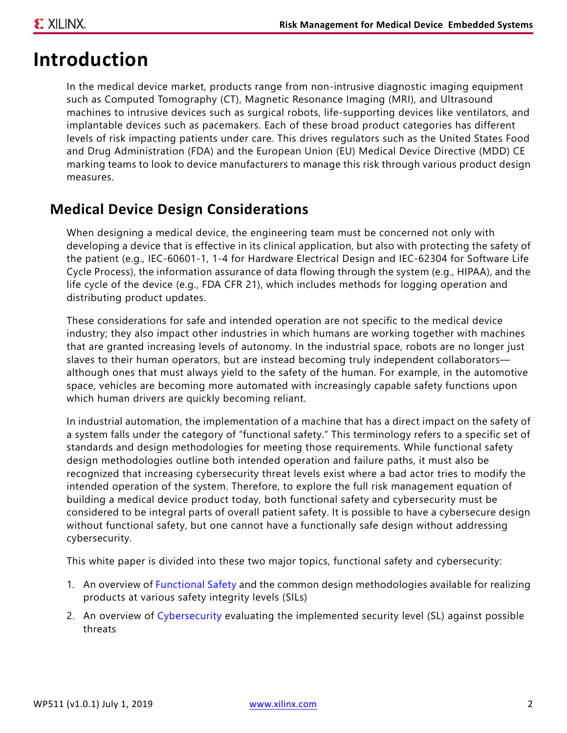# **Introduction**

In the medical device market, products range from non-intrusive diagnostic imaging equipment such as Computed Tomography (CT), Magnetic Resonance Imaging (MRI), and Ultrasound machines to intrusive devices such as surgical robots, life-supporting devices like ventilators, and implantable devices such as pacemakers. Each of these broad product categories has different levels of risk impacting patients under care. This drives regulators such as the United States Food and Drug Administration (FDA) and the European Union (EU) Medical Device Directive (MDD) CE marking teams to look to device manufacturers to manage this risk through various product design measures.

#### **Medical Device Design Considerations**

When designing a medical device, the engineering team must be concerned not only with developing a device that is effective in its clinical application, but also with protecting the safety of the patient (e.g., IEC-60601-1, 1-4 for Hardware Electrical Design and IEC-62304 for Software Life Cycle Process), the information assurance of data flowing through the system (e.g., HIPAA), and the life cycle of the device (e.g., FDA CFR 21), which includes methods for logging operation and distributing product updates.

These considerations for safe and intended operation are not specific to the medical device industry; they also impact other industries in which humans are working together with machines that are granted increasing levels of autonomy. In the industrial space, robots are no longer just slaves to their human operators, but are instead becoming truly independent collaborators although ones that must always yield to the safety of the human. For example, in the automotive space, vehicles are becoming more automated with increasingly capable safety functions upon which human drivers are quickly becoming reliant.

In industrial automation, the implementation of a machine that has a direct impact on the safety of a system falls under the category of "functional safety." This terminology refers to a specific set of standards and design methodologies for meeting those requirements. While functional safety design methodologies outline both intended operation and failure paths, it must also be recognized that increasing cybersecurity threat levels exist where a bad actor tries to modify the intended operation of the system. Therefore, to explore the full risk management equation of building a medical device product today, both functional safety and cybersecurity must be considered to be integral parts of overall patient safety. It is possible to have a cybersecure design without functional safety, but one cannot have a functionally safe design without addressing cybersecurity.

This white paper is divided into these two major topics, functional safety and cybersecurity:

- 1. An overview of [Functional Safety](#page-2-0) and the common design methodologies available for realizing products at various safety integrity levels (SILs)
- 2. An overview of [Cybersecurity](#page-10-0) evaluating the implemented security level (SL) against possible threats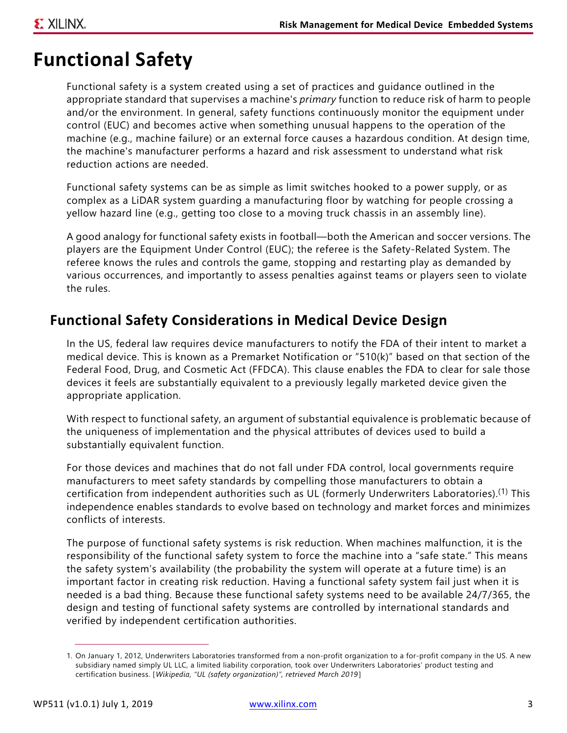# <span id="page-2-0"></span>**Functional Safety**

Functional safety is a system created using a set of practices and guidance outlined in the appropriate standard that supervises a machine's *primary* function to reduce risk of harm to people and/or the environment. In general, safety functions continuously monitor the equipment under control (EUC) and becomes active when something unusual happens to the operation of the machine (e.g., machine failure) or an external force causes a hazardous condition. At design time, the machine's manufacturer performs a hazard and risk assessment to understand what risk reduction actions are needed.

Functional safety systems can be as simple as limit switches hooked to a power supply, or as complex as a LiDAR system guarding a manufacturing floor by watching for people crossing a yellow hazard line (e.g., getting too close to a moving truck chassis in an assembly line).

A good analogy for functional safety exists in football—both the American and soccer versions. The players are the Equipment Under Control (EUC); the referee is the Safety-Related System. The referee knows the rules and controls the game, stopping and restarting play as demanded by various occurrences, and importantly to assess penalties against teams or players seen to violate the rules.

### **Functional Safety Considerations in Medical Device Design**

In the US, federal law requires device manufacturers to notify the FDA of their intent to market a medical device. This is known as a Premarket Notification or "510(k)" based on that section of the Federal Food, Drug, and Cosmetic Act (FFDCA). This clause enables the FDA to clear for sale those devices it feels are substantially equivalent to a previously legally marketed device given the appropriate application.

With respect to functional safety, an argument of substantial equivalence is problematic because of the uniqueness of implementation and the physical attributes of devices used to build a substantially equivalent function.

For those devices and machines that do not fall under FDA control, local governments require manufacturers to meet safety standards by compelling those manufacturers to obtain a certification from independent authorities such as UL (formerly Underwriters Laboratories).(1) This independence enables standards to evolve based on technology and market forces and minimizes conflicts of interests.

The purpose of functional safety systems is risk reduction. When machines malfunction, it is the responsibility of the functional safety system to force the machine into a "safe state." This means the safety system's availability (the probability the system will operate at a future time) is an important factor in creating risk reduction. Having a functional safety system fail just when it is needed is a bad thing. Because these functional safety systems need to be available 24/7/365, the design and testing of functional safety systems are controlled by international standards and verified by independent certification authorities.

<sup>1.</sup> On January 1, 2012, Underwriters Laboratories transformed from a non-profit organization to a for-profit company in the US. A new subsidiary named simply UL LLC, a limited liability corporation, took over Underwriters Laboratories' product testing and certification business. [*Wikipedia, "UL (safety organization)", retrieved March 2019* ]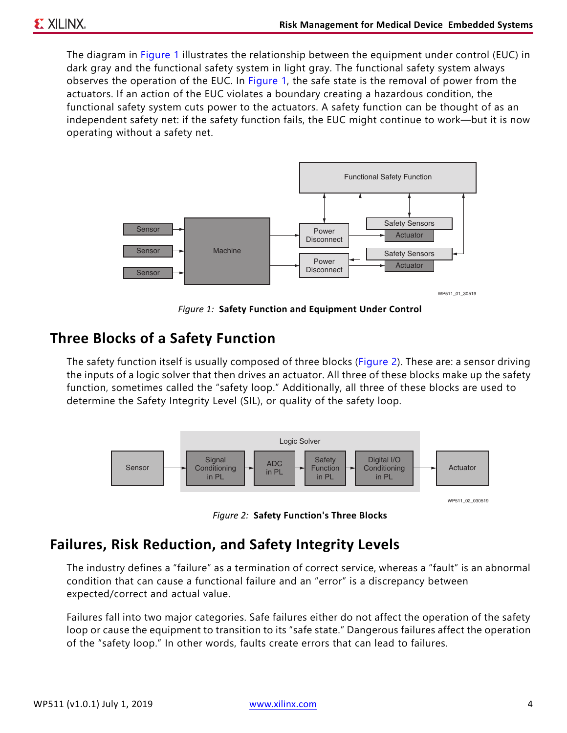The diagram in [Figure 1](#page-3-0) illustrates the relationship between the equipment under control (EUC) in dark gray and the functional safety system in light gray. The functional safety system always observes the operation of the EUC. In [Figure 1](#page-3-0), the safe state is the removal of power from the actuators. If an action of the EUC violates a boundary creating a hazardous condition, the functional safety system cuts power to the actuators. A safety function can be thought of as an independent safety net: if the safety function fails, the EUC might continue to work—but it is now operating without a safety net.

<span id="page-3-0"></span>

WP511\_01\_30519

*Figure 1:* **Safety Function and Equipment Under Control**

#### **Three Blocks of a Safety Function**

The safety function itself is usually composed of three blocks ([Figure 2](#page-3-1)). These are: a sensor driving the inputs of a logic solver that then drives an actuator. All three of these blocks make up the safety function, sometimes called the "safety loop." Additionally, all three of these blocks are used to determine the Safety Integrity Level (SIL), or quality of the safety loop.

<span id="page-3-1"></span>

*Figure 2:* **Safety Function's Three Blocks**

#### **Failures, Risk Reduction, and Safety Integrity Levels**

The industry defines a "failure" as a termination of correct service, whereas a "fault" is an abnormal condition that can cause a functional failure and an "error" is a discrepancy between expected/correct and actual value.

Failures fall into two major categories. Safe failures either do not affect the operation of the safety loop or cause the equipment to transition to its "safe state." Dangerous failures affect the operation of the "safety loop." In other words, faults create errors that can lead to failures.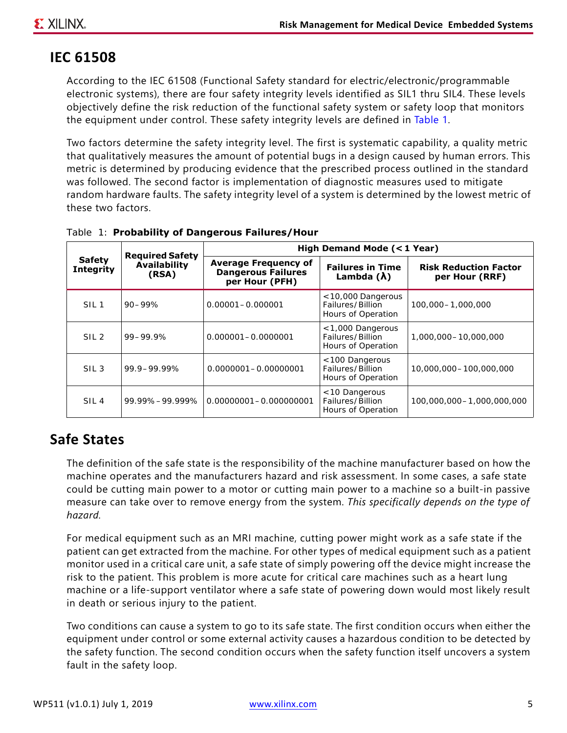### **IEC 61508**

According to the IEC 61508 (Functional Safety standard for electric/electronic/programmable electronic systems), there are four safety integrity levels identified as SIL1 thru SIL4. These levels objectively define the risk reduction of the functional safety system or safety loop that monitors the equipment under control. These safety integrity levels are defined in [Table 1.](#page-4-0)

Two factors determine the safety integrity level. The first is systematic capability, a quality metric that qualitatively measures the amount of potential bugs in a design caused by human errors. This metric is determined by producing evidence that the prescribed process outlined in the standard was followed. The second factor is implementation of diagnostic measures used to mitigate random hardware faults. The safety integrity level of a system is determined by the lowest metric of these two factors.

| <b>Safety</b><br><b>Integrity</b> | <b>Required Safety</b><br>Availability<br>(RSA) | High Demand Mode (<1 Year)                                                 |                                                                |                                                |  |
|-----------------------------------|-------------------------------------------------|----------------------------------------------------------------------------|----------------------------------------------------------------|------------------------------------------------|--|
|                                   |                                                 | <b>Average Frequency of</b><br><b>Dangerous Failures</b><br>per Hour (PFH) | <b>Failures in Time</b><br>Lambda $(\lambda)$                  | <b>Risk Reduction Factor</b><br>per Hour (RRF) |  |
| SIL <sub>1</sub>                  | $90 - 99%$                                      | $0.00001 - 0.000001$                                                       | $<$ 10,000 Dangerous<br>Failures/Billion<br>Hours of Operation | 100,000-1,000,000                              |  |
| SIL <sub>2</sub>                  | $99 - 99.9%$                                    | $0.000001 - 0.0000001$                                                     | <1,000 Dangerous<br>Failures/Billion<br>Hours of Operation     | 1,000,000-10,000,000                           |  |
| SIL <sub>3</sub>                  | 99.9-99.99%                                     | $0.0000001 - 0.00000001$                                                   | <100 Dangerous<br>Failures/Billion<br>Hours of Operation       | 10,000,000-100,000,000                         |  |
| SIL <sub>4</sub>                  | 99.99%-99.999%                                  | 0.00000001-0.000000001                                                     | < 10 Dangerous<br>Failures/Billion<br>Hours of Operation       | 100,000,000-1,000,000,000                      |  |

<span id="page-4-0"></span>*Table 1:* **Probability of Dangerous Failures/Hour**

#### **Safe States**

The definition of the safe state is the responsibility of the machine manufacturer based on how the machine operates and the manufacturers hazard and risk assessment. In some cases, a safe state could be cutting main power to a motor or cutting main power to a machine so a built-in passive measure can take over to remove energy from the system. *This specifically depends on the type of hazard.*

For medical equipment such as an MRI machine, cutting power might work as a safe state if the patient can get extracted from the machine. For other types of medical equipment such as a patient monitor used in a critical care unit, a safe state of simply powering off the device might increase the risk to the patient. This problem is more acute for critical care machines such as a heart lung machine or a life-support ventilator where a safe state of powering down would most likely result in death or serious injury to the patient.

Two conditions can cause a system to go to its safe state. The first condition occurs when either the equipment under control or some external activity causes a hazardous condition to be detected by the safety function. The second condition occurs when the safety function itself uncovers a system fault in the safety loop.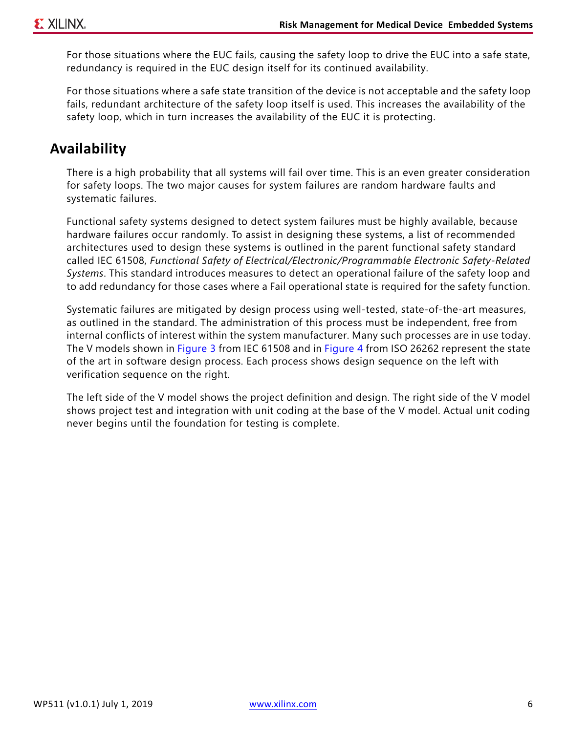For those situations where the EUC fails, causing the safety loop to drive the EUC into a safe state, redundancy is required in the EUC design itself for its continued availability.

For those situations where a safe state transition of the device is not acceptable and the safety loop fails, redundant architecture of the safety loop itself is used. This increases the availability of the safety loop, which in turn increases the availability of the EUC it is protecting.

#### **Availability**

There is a high probability that all systems will fail over time. This is an even greater consideration for safety loops. The two major causes for system failures are random hardware faults and systematic failures.

Functional safety systems designed to detect system failures must be highly available, because hardware failures occur randomly. To assist in designing these systems, a list of recommended architectures used to design these systems is outlined in the parent functional safety standard called IEC 61508, *Functional Safety of Electrical/Electronic/Programmable Electronic Safety-Related Systems*. This standard introduces measures to detect an operational failure of the safety loop and to add redundancy for those cases where a Fail operational state is required for the safety function.

Systematic failures are mitigated by design process using well-tested, state-of-the-art measures, as outlined in the standard. The administration of this process must be independent, free from internal conflicts of interest within the system manufacturer. Many such processes are in use today. The V models shown in [Figure 3](#page-6-0) from IEC 61508 and in [Figure 4](#page-6-1) from ISO 26262 represent the state of the art in software design process. Each process shows design sequence on the left with verification sequence on the right.

The left side of the V model shows the project definition and design. The right side of the V model shows project test and integration with unit coding at the base of the V model. Actual unit coding never begins until the foundation for testing is complete.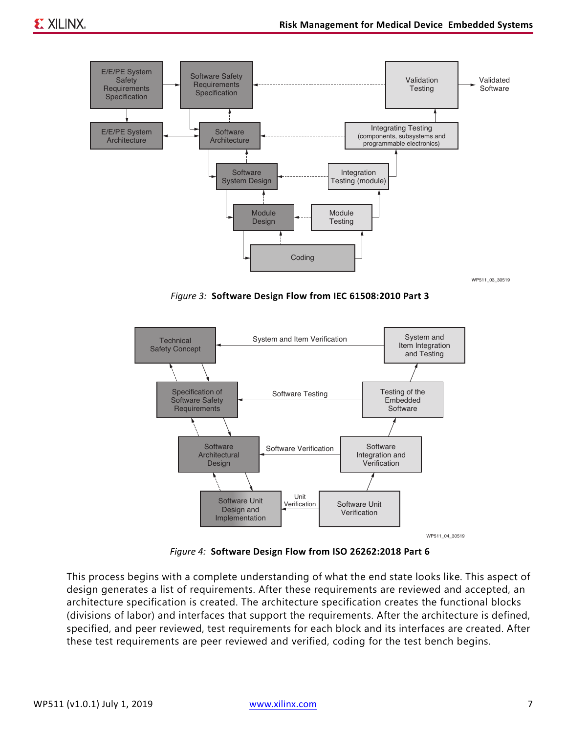<span id="page-6-0"></span>

*Figure 3:* **Software Design Flow from IEC 61508:2010 Part 3**

<span id="page-6-1"></span>

*Figure 4:* **Software Design Flow from ISO 26262:2018 Part 6**

This process begins with a complete understanding of what the end state looks like. This aspect of design generates a list of requirements. After these requirements are reviewed and accepted, an architecture specification is created. The architecture specification creates the functional blocks (divisions of labor) and interfaces that support the requirements. After the architecture is defined, specified, and peer reviewed, test requirements for each block and its interfaces are created. After these test requirements are peer reviewed and verified, coding for the test bench begins.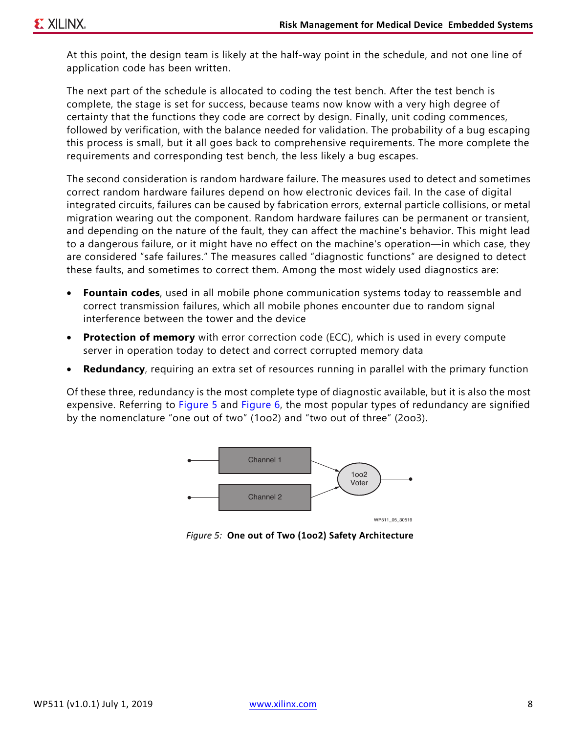At this point, the design team is likely at the half-way point in the schedule, and not one line of application code has been written.

The next part of the schedule is allocated to coding the test bench. After the test bench is complete, the stage is set for success, because teams now know with a very high degree of certainty that the functions they code are correct by design. Finally, unit coding commences, followed by verification, with the balance needed for validation. The probability of a bug escaping this process is small, but it all goes back to comprehensive requirements. The more complete the requirements and corresponding test bench, the less likely a bug escapes.

The second consideration is random hardware failure. The measures used to detect and sometimes correct random hardware failures depend on how electronic devices fail. In the case of digital integrated circuits, failures can be caused by fabrication errors, external particle collisions, or metal migration wearing out the component. Random hardware failures can be permanent or transient, and depending on the nature of the fault, they can affect the machine's behavior. This might lead to a dangerous failure, or it might have no effect on the machine's operation—in which case, they are considered "safe failures." The measures called "diagnostic functions" are designed to detect these faults, and sometimes to correct them. Among the most widely used diagnostics are:

- **Fountain codes**, used in all mobile phone communication systems today to reassemble and correct transmission failures, which all mobile phones encounter due to random signal interference between the tower and the device
- **Protection of memory** with error correction code (ECC), which is used in every compute server in operation today to detect and correct corrupted memory data
- **Redundancy**, requiring an extra set of resources running in parallel with the primary function

<span id="page-7-0"></span>Of these three, redundancy is the most complete type of diagnostic available, but it is also the most expensive. Referring to [Figure 5](#page-7-0) and [Figure 6,](#page-8-0) the most popular types of redundancy are signified by the nomenclature "one out of two" (1oo2) and "two out of three" (2oo3).



*Figure 5:* **One out of Two (1oo2) Safety Architecture**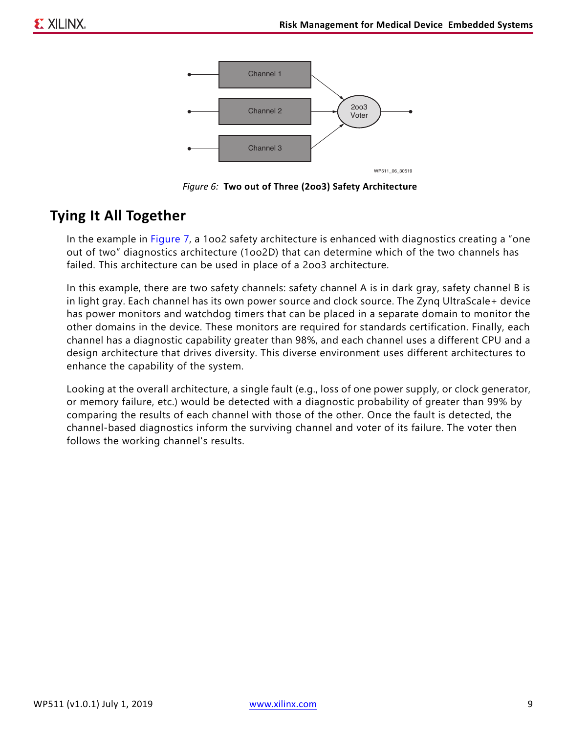<span id="page-8-0"></span>

*Figure 6:* **Two out of Three (2oo3) Safety Architecture**

#### **Tying It All Together**

In the example in [Figure 7,](#page-9-0) a 1oo2 safety architecture is enhanced with diagnostics creating a "one out of two" diagnostics architecture (1oo2D) that can determine which of the two channels has failed. This architecture can be used in place of a 2oo3 architecture.

In this example, there are two safety channels: safety channel A is in dark gray, safety channel B is in light gray. Each channel has its own power source and clock source. The Zynq UltraScale+ device has power monitors and watchdog timers that can be placed in a separate domain to monitor the other domains in the device. These monitors are required for standards certification. Finally, each channel has a diagnostic capability greater than 98%, and each channel uses a different CPU and a design architecture that drives diversity. This diverse environment uses different architectures to enhance the capability of the system.

Looking at the overall architecture, a single fault (e.g., loss of one power supply, or clock generator, or memory failure, etc.) would be detected with a diagnostic probability of greater than 99% by comparing the results of each channel with those of the other. Once the fault is detected, the channel-based diagnostics inform the surviving channel and voter of its failure. The voter then follows the working channel's results.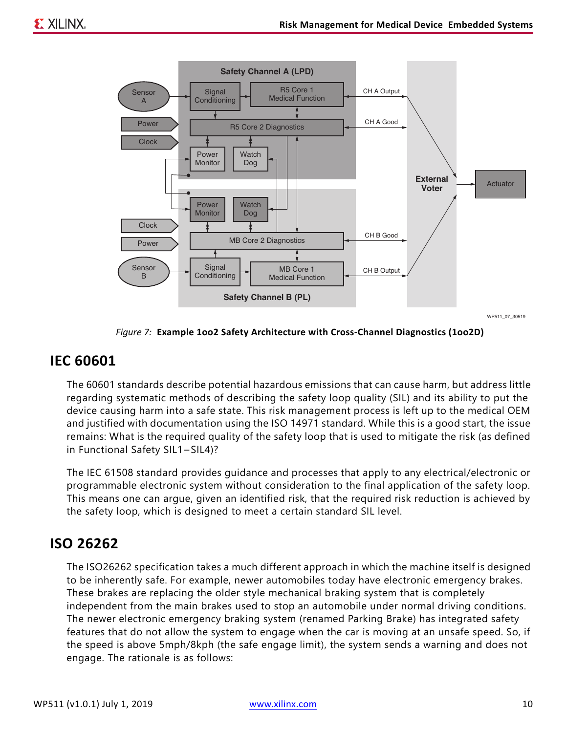<span id="page-9-0"></span>

*Figure 7:* **Example 1oo2 Safety Architecture with Cross-Channel Diagnostics (1oo2D)**

#### **IEC 60601**

The 60601 standards describe potential hazardous emissions that can cause harm, but address little regarding systematic methods of describing the safety loop quality (SIL) and its ability to put the device causing harm into a safe state. This risk management process is left up to the medical OEM and justified with documentation using the ISO 14971 standard. While this is a good start, the issue remains: What is the required quality of the safety loop that is used to mitigate the risk (as defined in Functional Safety SIL1–SIL4)?

The IEC 61508 standard provides guidance and processes that apply to any electrical/electronic or programmable electronic system without consideration to the final application of the safety loop. This means one can argue, given an identified risk, that the required risk reduction is achieved by the safety loop, which is designed to meet a certain standard SIL level.

#### **ISO 26262**

The ISO26262 specification takes a much different approach in which the machine itself is designed to be inherently safe. For example, newer automobiles today have electronic emergency brakes. These brakes are replacing the older style mechanical braking system that is completely independent from the main brakes used to stop an automobile under normal driving conditions. The newer electronic emergency braking system (renamed Parking Brake) has integrated safety features that do not allow the system to engage when the car is moving at an unsafe speed. So, if the speed is above 5mph/8kph (the safe engage limit), the system sends a warning and does not engage. The rationale is as follows: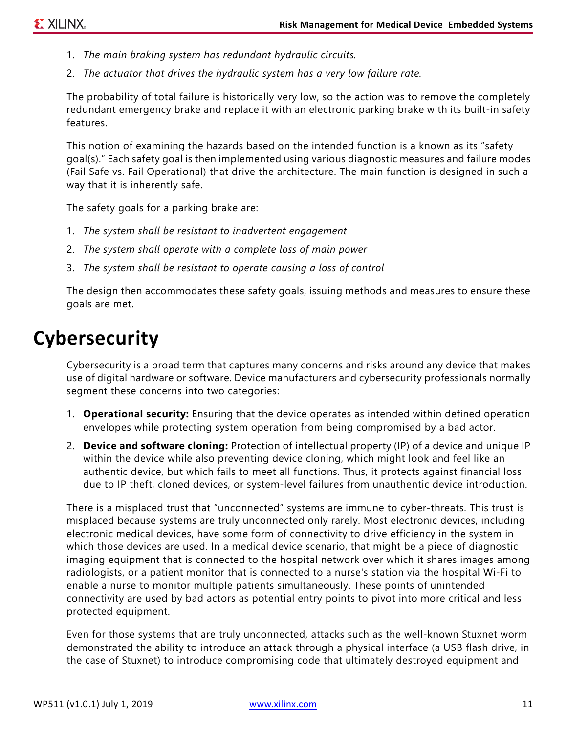- 1. *The main braking system has redundant hydraulic circuits.*
- 2. *The actuator that drives the hydraulic system has a very low failure rate.*

The probability of total failure is historically very low, so the action was to remove the completely redundant emergency brake and replace it with an electronic parking brake with its built-in safety features.

This notion of examining the hazards based on the intended function is a known as its "safety goal(s)." Each safety goal is then implemented using various diagnostic measures and failure modes (Fail Safe vs. Fail Operational) that drive the architecture. The main function is designed in such a way that it is inherently safe.

The safety goals for a parking brake are:

- 1. *The system shall be resistant to inadvertent engagement*
- 2. *The system shall operate with a complete loss of main power*
- 3. *The system shall be resistant to operate causing a loss of control*

The design then accommodates these safety goals, issuing methods and measures to ensure these goals are met.

# <span id="page-10-0"></span>**Cybersecurity**

Cybersecurity is a broad term that captures many concerns and risks around any device that makes use of digital hardware or software. Device manufacturers and cybersecurity professionals normally segment these concerns into two categories:

- 1. **Operational security:** Ensuring that the device operates as intended within defined operation envelopes while protecting system operation from being compromised by a bad actor.
- 2. **Device and software cloning:** Protection of intellectual property (IP) of a device and unique IP within the device while also preventing device cloning, which might look and feel like an authentic device, but which fails to meet all functions. Thus, it protects against financial loss due to IP theft, cloned devices, or system-level failures from unauthentic device introduction.

There is a misplaced trust that "unconnected" systems are immune to cyber-threats. This trust is misplaced because systems are truly unconnected only rarely. Most electronic devices, including electronic medical devices, have some form of connectivity to drive efficiency in the system in which those devices are used. In a medical device scenario, that might be a piece of diagnostic imaging equipment that is connected to the hospital network over which it shares images among radiologists, or a patient monitor that is connected to a nurse's station via the hospital Wi-Fi to enable a nurse to monitor multiple patients simultaneously. These points of unintended connectivity are used by bad actors as potential entry points to pivot into more critical and less protected equipment.

Even for those systems that are truly unconnected, attacks such as the well-known Stuxnet worm demonstrated the ability to introduce an attack through a physical interface (a USB flash drive, in the case of Stuxnet) to introduce compromising code that ultimately destroyed equipment and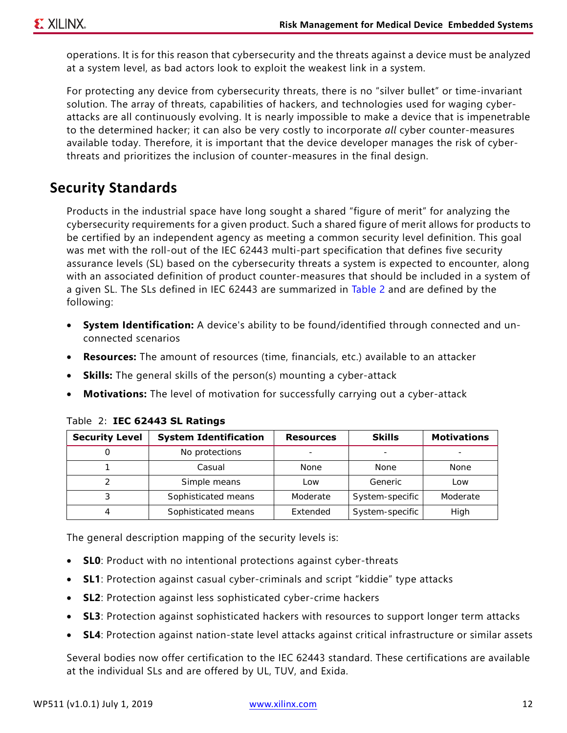operations. It is for this reason that cybersecurity and the threats against a device must be analyzed at a system level, as bad actors look to exploit the weakest link in a system.

For protecting any device from cybersecurity threats, there is no "silver bullet" or time-invariant solution. The array of threats, capabilities of hackers, and technologies used for waging cyberattacks are all continuously evolving. It is nearly impossible to make a device that is impenetrable to the determined hacker; it can also be very costly to incorporate *all* cyber counter-measures available today. Therefore, it is important that the device developer manages the risk of cyberthreats and prioritizes the inclusion of counter-measures in the final design.

#### **Security Standards**

Products in the industrial space have long sought a shared "figure of merit" for analyzing the cybersecurity requirements for a given product. Such a shared figure of merit allows for products to be certified by an independent agency as meeting a common security level definition. This goal was met with the roll-out of the IEC 62443 multi-part specification that defines five security assurance levels (SL) based on the cybersecurity threats a system is expected to encounter, along with an associated definition of product counter-measures that should be included in a system of a given SL. The SLs defined in IEC 62443 are summarized in [Table 2](#page-11-0) and are defined by the following:

- **System Identification:** A device's ability to be found/identified through connected and unconnected scenarios
- **Resources:** The amount of resources (time, financials, etc.) available to an attacker
- **Skills:** The general skills of the person(s) mounting a cyber-attack
- **Motivations:** The level of motivation for successfully carrying out a cyber-attack

| <b>Security Level</b> | <b>System Identification</b> | <b>Resources</b> | <b>Skills</b>                | <b>Motivations</b> |
|-----------------------|------------------------------|------------------|------------------------------|--------------------|
|                       | No protections               | -                | $\qquad \qquad \blacksquare$ | -                  |
|                       | Casual                       | None             | <b>None</b>                  | None               |
|                       | Simple means                 | Low              | Generic                      | Low                |
| 3                     | Sophisticated means          | Moderate         | System-specific              | Moderate           |
|                       | Sophisticated means          | Extended         | System-specific              | High               |

#### <span id="page-11-0"></span>*Table 2:* **IEC 62443 SL Ratings**

The general description mapping of the security levels is:

- **SL0**: Product with no intentional protections against cyber-threats
- **SL1**: Protection against casual cyber-criminals and script "kiddie" type attacks
- **SL2**: Protection against less sophisticated cyber-crime hackers
- **SL3**: Protection against sophisticated hackers with resources to support longer term attacks
- **SL4**: Protection against nation-state level attacks against critical infrastructure or similar assets

Several bodies now offer certification to the IEC 62443 standard. These certifications are available at the individual SLs and are offered by UL, TUV, and Exida.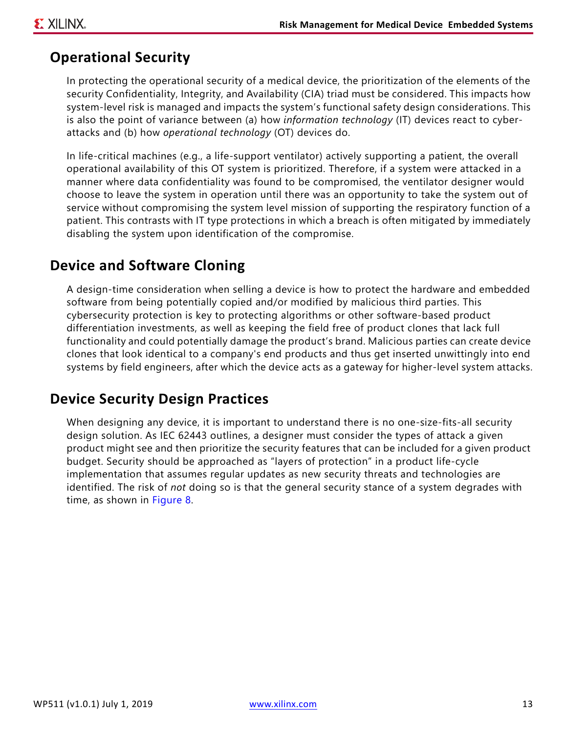#### **Operational Security**

In protecting the operational security of a medical device, the prioritization of the elements of the security Confidentiality, Integrity, and Availability (CIA) triad must be considered. This impacts how system-level risk is managed and impacts the system's functional safety design considerations. This is also the point of variance between (a) how *information technology* (IT) devices react to cyberattacks and (b) how *operational technology* (OT) devices do.

In life-critical machines (e.g., a life-support ventilator) actively supporting a patient, the overall operational availability of this OT system is prioritized. Therefore, if a system were attacked in a manner where data confidentiality was found to be compromised, the ventilator designer would choose to leave the system in operation until there was an opportunity to take the system out of service without compromising the system level mission of supporting the respiratory function of a patient. This contrasts with IT type protections in which a breach is often mitigated by immediately disabling the system upon identification of the compromise.

#### **Device and Software Cloning**

A design-time consideration when selling a device is how to protect the hardware and embedded software from being potentially copied and/or modified by malicious third parties. This cybersecurity protection is key to protecting algorithms or other software-based product differentiation investments, as well as keeping the field free of product clones that lack full functionality and could potentially damage the product's brand. Malicious parties can create device clones that look identical to a company's end products and thus get inserted unwittingly into end systems by field engineers, after which the device acts as a gateway for higher-level system attacks.

#### **Device Security Design Practices**

When designing any device, it is important to understand there is no one-size-fits-all security design solution. As IEC 62443 outlines, a designer must consider the types of attack a given product might see and then prioritize the security features that can be included for a given product budget. Security should be approached as "layers of protection" in a product life-cycle implementation that assumes regular updates as new security threats and technologies are identified. The risk of *not* doing so is that the general security stance of a system degrades with time, as shown in [Figure 8](#page-13-0).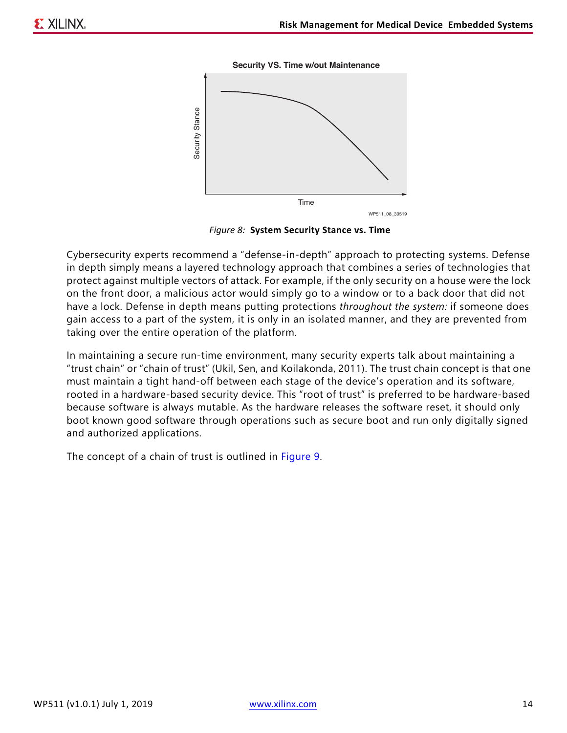

<span id="page-13-0"></span>

*Figure 8:* **System Security Stance vs. Time**

Cybersecurity experts recommend a "defense-in-depth" approach to protecting systems. Defense in depth simply means a layered technology approach that combines a series of technologies that protect against multiple vectors of attack. For example, if the only security on a house were the lock on the front door, a malicious actor would simply go to a window or to a back door that did not have a lock. Defense in depth means putting protections *throughout the system:* if someone does gain access to a part of the system, it is only in an isolated manner, and they are prevented from taking over the entire operation of the platform.

In maintaining a secure run-time environment, many security experts talk about maintaining a "trust chain" or "chain of trust" (Ukil, Sen, and Koilakonda, 2011). The trust chain concept is that one must maintain a tight hand-off between each stage of the device's operation and its software, rooted in a hardware-based security device. This "root of trust" is preferred to be hardware-based because software is always mutable. As the hardware releases the software reset, it should only boot known good software through operations such as secure boot and run only digitally signed and authorized applications.

The concept of a chain of trust is outlined in [Figure 9](#page-14-0).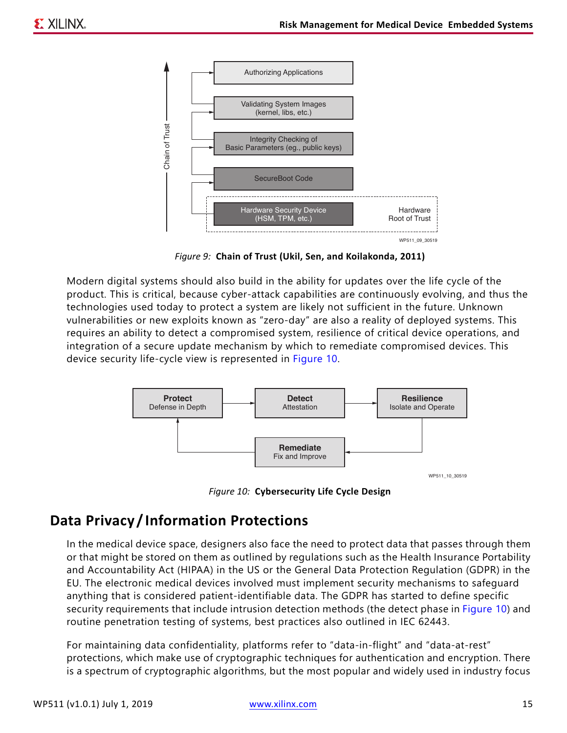<span id="page-14-0"></span>

*Figure 9:* **Chain of Trust (Ukil, Sen, and Koilakonda, 2011)**

Modern digital systems should also build in the ability for updates over the life cycle of the product. This is critical, because cyber-attack capabilities are continuously evolving, and thus the technologies used today to protect a system are likely not sufficient in the future. Unknown vulnerabilities or new exploits known as "zero-day" are also a reality of deployed systems. This requires an ability to detect a compromised system, resilience of critical device operations, and integration of a secure update mechanism by which to remediate compromised devices. This device security life-cycle view is represented in [Figure 10.](#page-14-1)

<span id="page-14-1"></span>

*Figure 10:* **Cybersecurity Life Cycle Design**

### **Data Privacy / Information Protections**

In the medical device space, designers also face the need to protect data that passes through them or that might be stored on them as outlined by regulations such as the Health Insurance Portability and Accountability Act (HIPAA) in the US or the General Data Protection Regulation (GDPR) in the EU. The electronic medical devices involved must implement security mechanisms to safeguard anything that is considered patient-identifiable data. The GDPR has started to define specific security requirements that include intrusion detection methods (the detect phase in [Figure 10\)](#page-14-1) and routine penetration testing of systems, best practices also outlined in IEC 62443.

For maintaining data confidentiality, platforms refer to "data-in-flight" and "data-at-rest" protections, which make use of cryptographic techniques for authentication and encryption. There is a spectrum of cryptographic algorithms, but the most popular and widely used in industry focus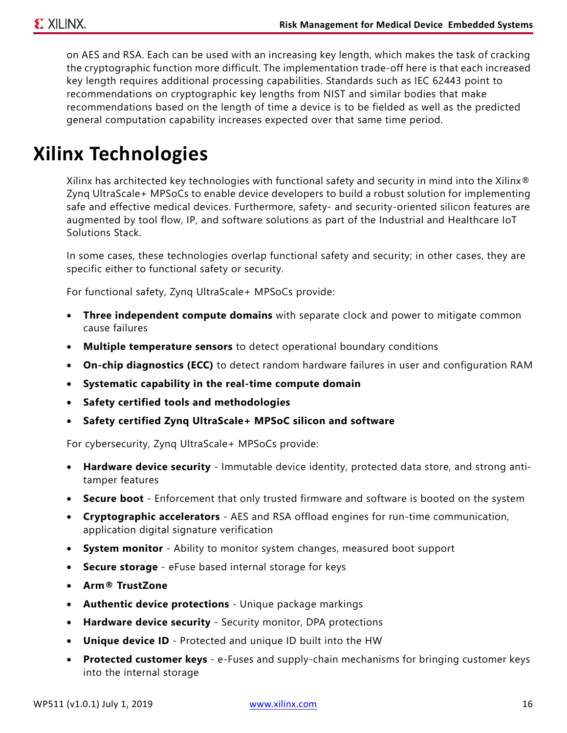on AES and RSA. Each can be used with an increasing key length, which makes the task of cracking the cryptographic function more difficult. The implementation trade-off here is that each increased key length requires additional processing capabilities. Standards such as IEC 62443 point to recommendations on cryptographic key lengths from NIST and similar bodies that make recommendations based on the length of time a device is to be fielded as well as the predicted general computation capability increases expected over that same time period.

# **Xilinx Technologies**

Xilinx has architected key technologies with functional safety and security in mind into the Xilinx<sup>®</sup> Zynq UltraScale+ MPSoCs to enable device developers to build a robust solution for implementing safe and effective medical devices. Furthermore, safety- and security-oriented silicon features are augmented by tool flow, IP, and software solutions as part of the Industrial and Healthcare IoT Solutions Stack.

In some cases, these technologies overlap functional safety and security; in other cases, they are specific either to functional safety or security.

For functional safety, Zynq UltraScale+ MPSoCs provide:

- **Three independent compute domains** with separate clock and power to mitigate common cause failures
- **Multiple temperature sensors** to detect operational boundary conditions
- **On-chip diagnostics (ECC)** to detect random hardware failures in user and configuration RAM
- **Systematic capability in the real-time compute domain**
- **Safety certified tools and methodologies**
- **Safety certified Zynq UltraScale+ MPSoC silicon and software**

For cybersecurity, Zynq UltraScale+ MPSoCs provide:

- **Hardware device security** Immutable device identity, protected data store, and strong antitamper features
- **Secure boot** Enforcement that only trusted firmware and software is booted on the system
- **Cryptographic accelerators** AES and RSA offload engines for run-time communication, application digital signature verification
- **System monitor** Ability to monitor system changes, measured boot support
- **Secure storage** eFuse based internal storage for keys
- **Arm® TrustZone**
- **Authentic device protections** Unique package markings
- **Hardware device security** Security monitor, DPA protections
- **Unique device ID** Protected and unique ID built into the HW
- **Protected customer keys** e-Fuses and supply-chain mechanisms for bringing customer keys into the internal storage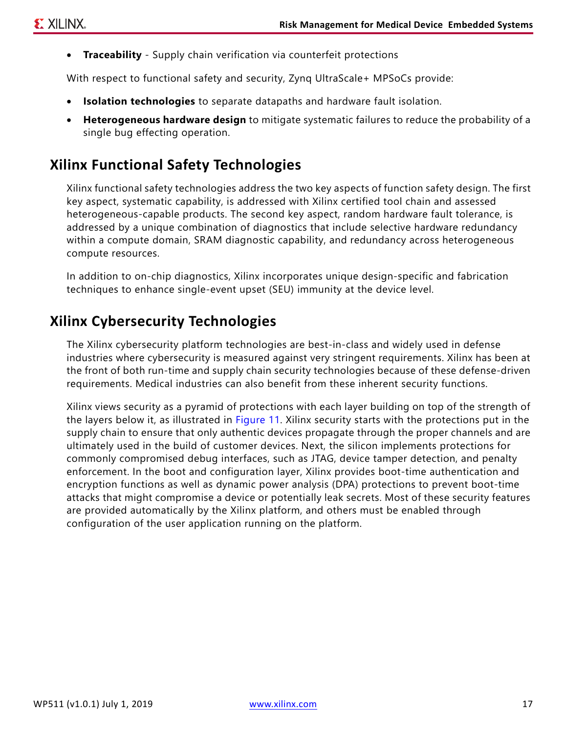• **Traceability** - Supply chain verification via counterfeit protections

With respect to functional safety and security, Zynq UltraScale+ MPSoCs provide:

- **Isolation technologies** to separate datapaths and hardware fault isolation.
- **Heterogeneous hardware design** to mitigate systematic failures to reduce the probability of a single bug effecting operation.

#### **Xilinx Functional Safety Technologies**

Xilinx functional safety technologies address the two key aspects of function safety design. The first key aspect, systematic capability, is addressed with Xilinx certified tool chain and assessed heterogeneous-capable products. The second key aspect, random hardware fault tolerance, is addressed by a unique combination of diagnostics that include selective hardware redundancy within a compute domain, SRAM diagnostic capability, and redundancy across heterogeneous compute resources.

In addition to on-chip diagnostics, Xilinx incorporates unique design-specific and fabrication techniques to enhance single-event upset (SEU) immunity at the device level.

### **Xilinx Cybersecurity Technologies**

The Xilinx cybersecurity platform technologies are best-in-class and widely used in defense industries where cybersecurity is measured against very stringent requirements. Xilinx has been at the front of both run-time and supply chain security technologies because of these defense-driven requirements. Medical industries can also benefit from these inherent security functions.

Xilinx views security as a pyramid of protections with each layer building on top of the strength of the layers below it, as illustrated in [Figure 11.](#page-17-0) Xilinx security starts with the protections put in the supply chain to ensure that only authentic devices propagate through the proper channels and are ultimately used in the build of customer devices. Next, the silicon implements protections for commonly compromised debug interfaces, such as JTAG, device tamper detection, and penalty enforcement. In the boot and configuration layer, Xilinx provides boot-time authentication and encryption functions as well as dynamic power analysis (DPA) protections to prevent boot-time attacks that might compromise a device or potentially leak secrets. Most of these security features are provided automatically by the Xilinx platform, and others must be enabled through configuration of the user application running on the platform.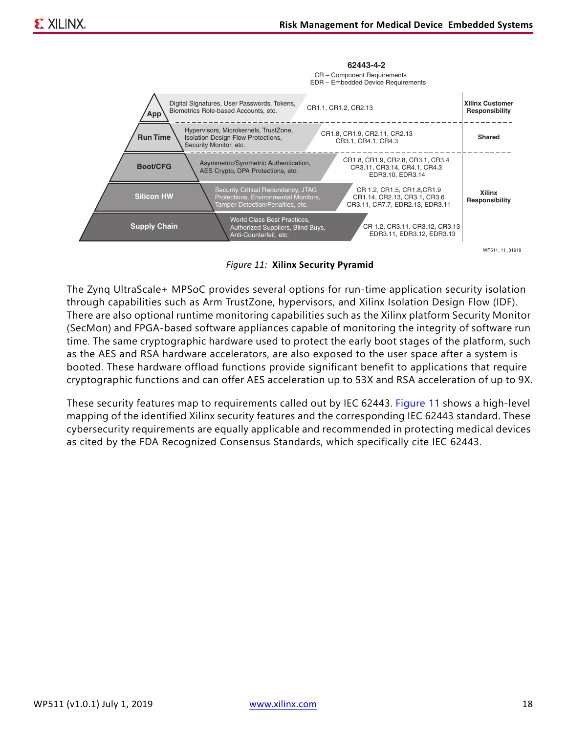<span id="page-17-0"></span>

*Figure 11:* **Xilinx Security Pyramid**

The Zynq UltraScale+ MPSoC provides several options for run-time application security isolation through capabilities such as Arm TrustZone, hypervisors, and Xilinx Isolation Design Flow (IDF). There are also optional runtime monitoring capabilities such as the Xilinx platform Security Monitor (SecMon) and FPGA-based software appliances capable of monitoring the integrity of software run time. The same cryptographic hardware used to protect the early boot stages of the platform, such as the AES and RSA hardware accelerators, are also exposed to the user space after a system is booted. These hardware offload functions provide significant benefit to applications that require cryptographic functions and can offer AES acceleration up to 53X and RSA acceleration of up to 9X.

These security features map to requirements called out by IEC 62443. [Figure 11](#page-17-0) shows a high-level mapping of the identified Xilinx security features and the corresponding IEC 62443 standard. These cybersecurity requirements are equally applicable and recommended in protecting medical devices as cited by the FDA Recognized Consensus Standards, which specifically cite IEC 62443.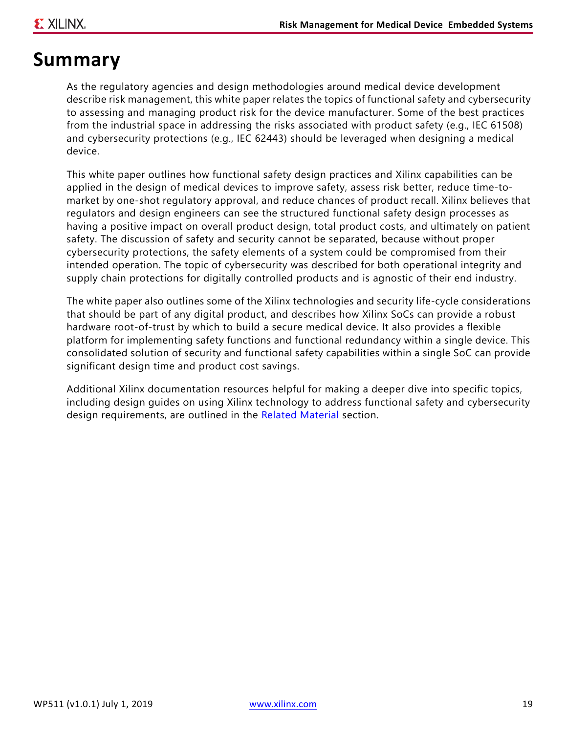### **Summary**

As the regulatory agencies and design methodologies around medical device development describe risk management, this white paper relates the topics of functional safety and cybersecurity to assessing and managing product risk for the device manufacturer. Some of the best practices from the industrial space in addressing the risks associated with product safety (e.g., IEC 61508) and cybersecurity protections (e.g., IEC 62443) should be leveraged when designing a medical device.

This white paper outlines how functional safety design practices and Xilinx capabilities can be applied in the design of medical devices to improve safety, assess risk better, reduce time-tomarket by one-shot regulatory approval, and reduce chances of product recall. Xilinx believes that regulators and design engineers can see the structured functional safety design processes as having a positive impact on overall product design, total product costs, and ultimately on patient safety. The discussion of safety and security cannot be separated, because without proper cybersecurity protections, the safety elements of a system could be compromised from their intended operation. The topic of cybersecurity was described for both operational integrity and supply chain protections for digitally controlled products and is agnostic of their end industry.

The white paper also outlines some of the Xilinx technologies and security life-cycle considerations that should be part of any digital product, and describes how Xilinx SoCs can provide a robust hardware root-of-trust by which to build a secure medical device. It also provides a flexible platform for implementing safety functions and functional redundancy within a single device. This consolidated solution of security and functional safety capabilities within a single SoC can provide significant design time and product cost savings.

Additional Xilinx documentation resources helpful for making a deeper dive into specific topics, including design guides on using Xilinx technology to address functional safety and cybersecurity design requirements, are outlined in the [Related Material](#page-19-0) section.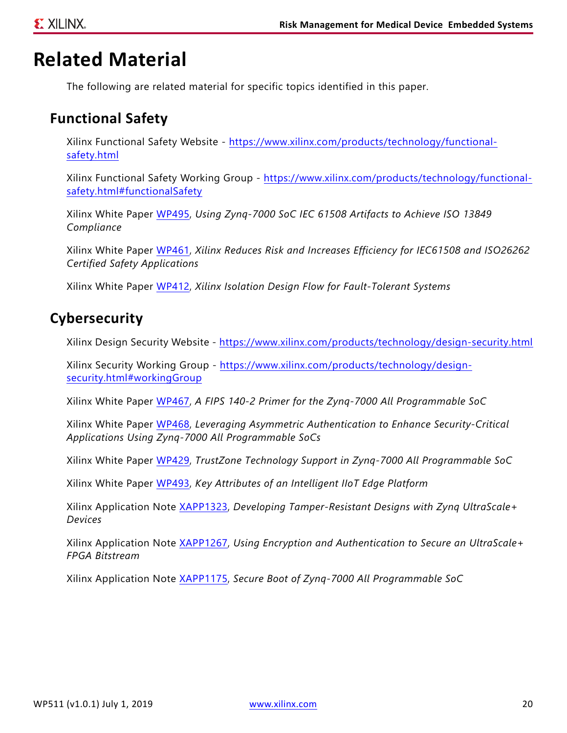### <span id="page-19-0"></span>**Related Material**

The following are related material for specific topics identified in this paper.

#### **Functional Safety**

Xilinx Functional Safety Website - [https://www.xilinx.com/products/technology/functional](https://www.xilinx.com/products/technology/functional-safety.html)[safety.html](https://www.xilinx.com/products/technology/functional-safety.html)

Xilinx Functional Safety Working Group - [https://www.xilinx.com/products/technology/functional](https://www.xilinx.com/products/technology/functional-safety.html#functionalSafety)[safety.html#functionalSafety](https://www.xilinx.com/products/technology/functional-safety.html#functionalSafety)

Xilinx White Paper [WP495,](https://www.xilinx.com/support/documentation/white_papers/wp495-z7-func-safety.pdf) *Using Zynq-7000 SoC IEC 61508 Artifacts to Achieve ISO 13849 Compliance*

Xilinx White Paper [WP461,](https://www.xilinx.com/support/documentation/white_papers/wp461-functional-safety.pdf) *Xilinx Reduces Risk and Increases Efficiency for IEC61508 and ISO26262 Certified Safety Applications*

Xilinx White Paper [WP412,](https://www.xilinx.com/support/documentation/white_papers/wp412_IDF_for_Fault_Tolerant_Sys.pdf) *Xilinx Isolation Design Flow for Fault-Tolerant Systems*

#### **Cybersecurity**

Xilinx Design Security Website - <https://www.xilinx.com/products/technology/design-security.html>

Xilinx Security Working Group - [https://www.xilinx.com/products/technology/design](•Xilinx Security Working Group - https://www.xilinx.com/products/technology/design-security.html#workingGroup )[security.html#workingGroup](•Xilinx Security Working Group - https://www.xilinx.com/products/technology/design-security.html#workingGroup )

Xilinx White Paper [WP467,](https://www.xilinx.com/support/documentation/white_papers/wp467-fips-140-2-z7000.pdf) *A FIPS 140-2 Primer for the Zynq-7000 All Programmable SoC*

Xilinx White Paper [WP468,](https://www.xilinx.com/support/documentation/white_papers/wp468_asym-auth-zynq-7000.pdf) *Leveraging Asymmetric Authentication to Enhance Security-Critical Applications Using Zynq-7000 All Programmable SoCs*

Xilinx White Paper [WP429,](https://www.xilinx.com/support/documentation/white_papers/wp429-trustzone-zynq.pdf) *TrustZone Technology Support in Zynq-7000 All Programmable SoC*

Xilinx White Paper [WP493,](https://www.xilinx.com/support/documentation/white_papers/wp493-iiot-edge-platforms.pdf) *Key Attributes of an Intelligent IIoT Edge Platform*

Xilinx Application Note [XAPP1323](https://www.xilinx.com/support/documentation/application_notes/xapp1323-zynq-usp-tamper-resistant-designs.pdf), *Developing Tamper-Resistant Designs with Zynq UltraScale+ Devices*

Xilinx Application Note [XAPP1267](https://www.xilinx.com/support/documentation/application_notes/xapp1267-encryp-efuse-program.pdf), *Using Encryption and Authentication to Secure an UltraScale+ FPGA Bitstream*

Xilinx Application Note [XAPP1175](https://www.xilinx.com/support/documentation/application_notes/xapp1175_zynq_secure_boot.pdf), *Secure Boot of Zynq-7000 All Programmable SoC*